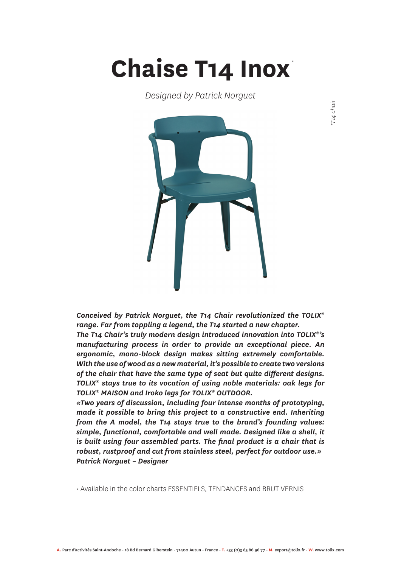## **Chaise T14 Inox** *\**

*Designed by Patrick Norguet*



*Conceived by Patrick Norguet, the T14 Chair revolutionized the TOLIX® range. Far from toppling a legend, the T14 started a new chapter. The T14 Chair's truly modern design introduced innovation into TOLIX®'s manufacturing process in order to provide an exceptional piece. An ergonomic, mono-block design makes sitting extremely comfortable. With the use of wood as a new material, it's possible to create two versions of the chair that have the same type of seat but quite different designs. TOLIX® stays true to its vocation of using noble materials: oak legs for TOLIX® MAISON and Iroko legs for TOLIX® OUTDOOR.*

*«Two years of discussion, including four intense months of prototyping, made it possible to bring this project to a constructive end. Inheriting from the A model, the T14 stays true to the brand's founding values: simple, functional, comfortable and well made. Designed like a shell, it is built using four assembled parts. The final product is a chair that is robust, rustproof and cut from stainless steel, perfect for outdoor use.» Patrick Norguet – Designer*

• Available in the color charts ESSENTIELS, TENDANCES and BRUT VERNIS

*\*T14 chair*